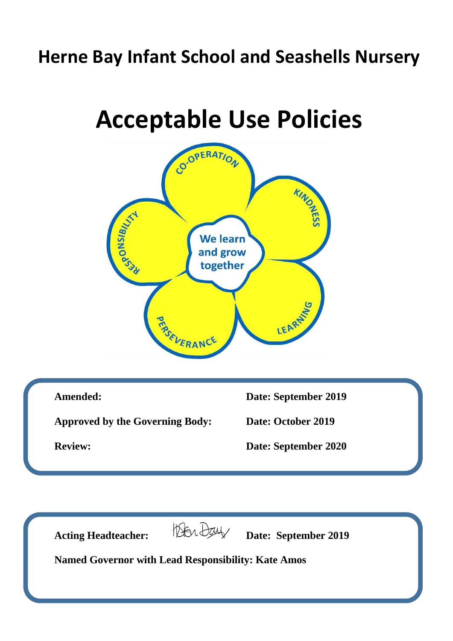# **Herne Bay Infant School and Seashells Nursery**

# **Acceptable Use Policies**





Acting Headteacher: *Devel Day* Date: September 2019

**Named Governor with Lead Responsibility: Kate Amos**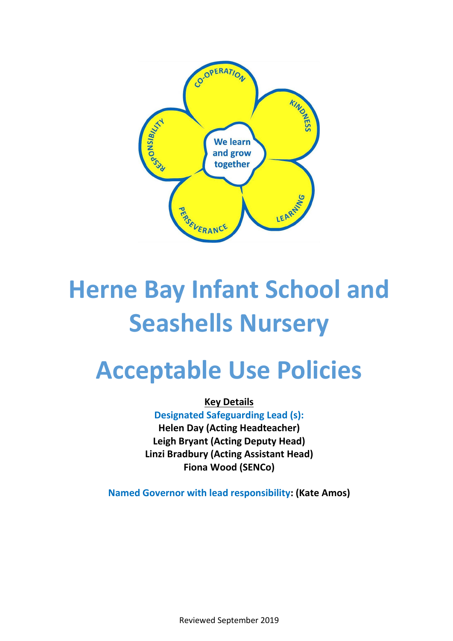

# **Herne Bay Infant School and Seashells Nursery**

# **Acceptable Use Policies**

**Key Details** 

**Designated Safeguarding Lead (s): Helen Day (Acting Headteacher) Leigh Bryant (Acting Deputy Head) Linzi Bradbury (Acting Assistant Head) Fiona Wood (SENCo)**

**Named Governor with lead responsibility: (Kate Amos)**

Reviewed September 2019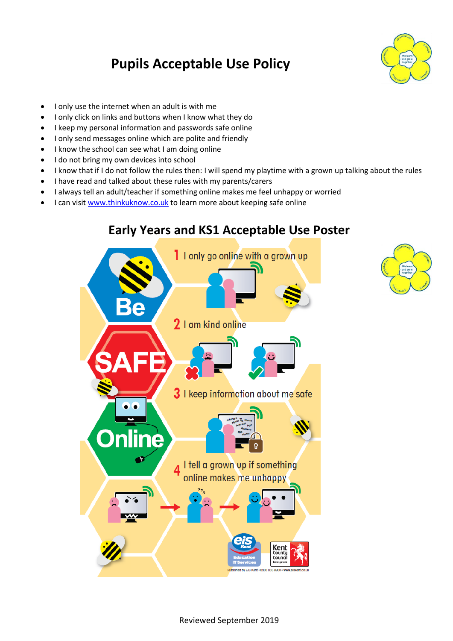## **Pupils Acceptable Use Policy**



- I only use the internet when an adult is with me
- I only click on links and buttons when I know what they do
- I keep my personal information and passwords safe online
- I only send messages online which are polite and friendly
- I know the school can see what I am doing online
- I do not bring my own devices into school
- I know that if I do not follow the rules then: I will spend my playtime with a grown up talking about the rules
- I have read and talked about these rules with my parents/carers
- I always tell an adult/teacher if something online makes me feel unhappy or worried
- I can visit [www.thinkuknow.co.uk](http://www.thinkuknow.co.uk/) to learn more about keeping safe online



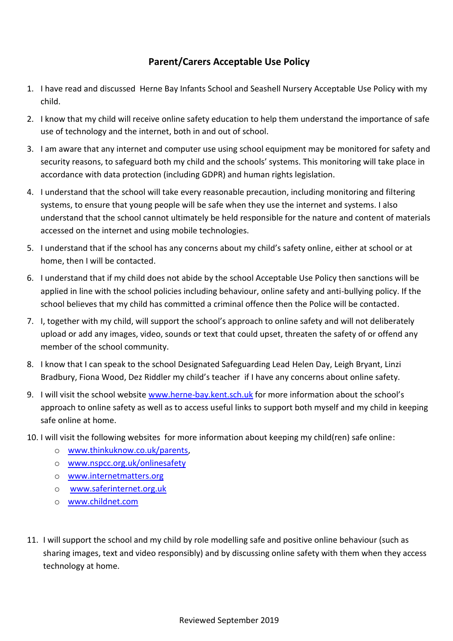### **Parent/Carers Acceptable Use Policy**

- 1. I have read and discussed Herne Bay Infants School and Seashell Nursery Acceptable Use Policy with my child.
- 2. I know that my child will receive online safety education to help them understand the importance of safe use of technology and the internet, both in and out of school.
- 3. I am aware that any internet and computer use using school equipment may be monitored for safety and security reasons, to safeguard both my child and the schools' systems. This monitoring will take place in accordance with data protection (including GDPR) and human rights legislation.
- 4. I understand that the school will take every reasonable precaution, including monitoring and filtering systems, to ensure that young people will be safe when they use the internet and systems. I also understand that the school cannot ultimately be held responsible for the nature and content of materials accessed on the internet and using mobile technologies.
- 5. I understand that if the school has any concerns about my child's safety online, either at school or at home, then I will be contacted.
- 6. I understand that if my child does not abide by the school Acceptable Use Policy then sanctions will be applied in line with the school policies including behaviour, online safety and anti-bullying policy. If the school believes that my child has committed a criminal offence then the Police will be contacted.
- 7. I, together with my child, will support the school's approach to online safety and will not deliberately upload or add any images, video, sounds or text that could upset, threaten the safety of or offend any member of the school community.
- 8. I know that I can speak to the school Designated Safeguarding Lead Helen Day, Leigh Bryant, Linzi Bradbury, Fiona Wood, Dez Riddler my child's teacher if I have any concerns about online safety.
- 9. I will visit the school website [www.herne-bay.kent.sch.uk](http://www.herne-bay.kent.sch.uk/) for more information about the school's approach to online safety as well as to access useful links to support both myself and my child in keeping safe online at home.
- 10. I will visit the following websites for more information about keeping my child(ren) safe online:
	- o [www.thinkuknow.co.uk/parents,](http://www.thinkuknow.co.uk/parents)
	- o [www.nspcc.org.uk/onlinesafety](http://www.nspcc.org.uk/onlinesafety)
	- o [www.internetmatters.org](http://www.internetmatters.org/)
	- o [www.saferinternet.org.uk](http://www.saferinternet.org.uk/)
	- o [www.childnet.com](http://www.childnet.com/)
- 11. I will support the school and my child by role modelling safe and positive online behaviour (such as sharing images, text and video responsibly) and by discussing online safety with them when they access technology at home.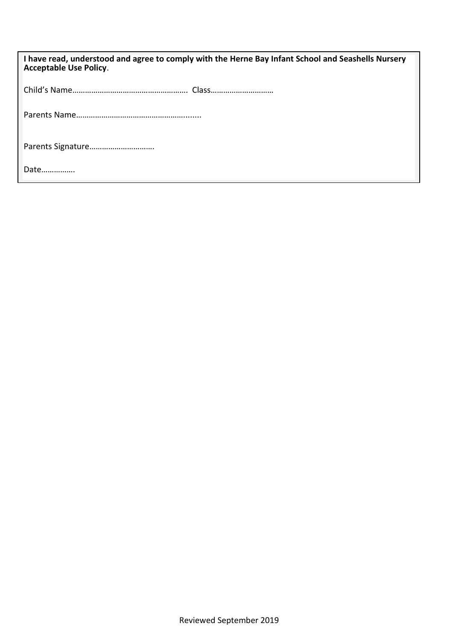| I have read, understood and agree to comply with the Herne Bay Infant School and Seashells Nursery<br><b>Acceptable Use Policy.</b> |
|-------------------------------------------------------------------------------------------------------------------------------------|
|                                                                                                                                     |
|                                                                                                                                     |
| Parents Signature                                                                                                                   |
| Date                                                                                                                                |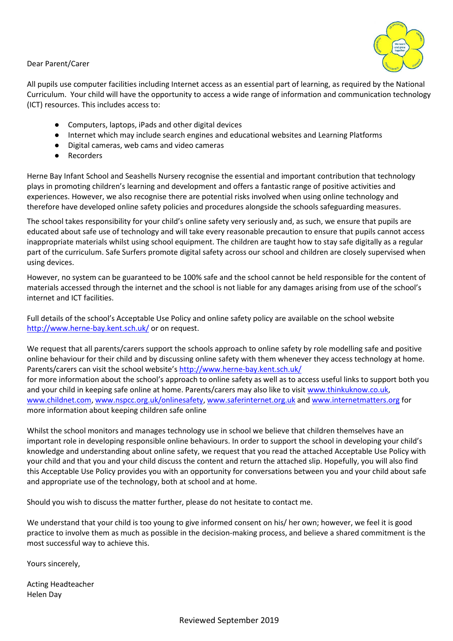

Dear Parent/Carer

All pupils use computer facilities including Internet access as an essential part of learning, as required by the National Curriculum. Your child will have the opportunity to access a wide range of information and communication technology (ICT) resources. This includes access to:

- Computers, laptops, iPads and other digital devices
- Internet which may include search engines and educational websites and Learning Platforms
- Digital cameras, web cams and video cameras
- Recorders

Herne Bay Infant School and Seashells Nursery recognise the essential and important contribution that technology plays in promoting children's learning and development and offers a fantastic range of positive activities and experiences. However, we also recognise there are potential risks involved when using online technology and therefore have developed online safety policies and procedures alongside the schools safeguarding measures.

The school takes responsibility for your child's online safety very seriously and, as such, we ensure that pupils are educated about safe use of technology and will take every reasonable precaution to ensure that pupils cannot access inappropriate materials whilst using school equipment. The children are taught how to stay safe digitally as a regular part of the curriculum. Safe Surfers promote digital safety across our school and children are closely supervised when using devices.

However, no system can be guaranteed to be 100% safe and the school cannot be held responsible for the content of materials accessed through the internet and the school is not liable for any damages arising from use of the school's internet and ICT facilities.

Full details of the school's Acceptable Use Policy and online safety policy are available on the school website <http://www.herne-bay.kent.sch.uk/> or on request.

We request that all parents/carers support the schools approach to online safety by role modelling safe and positive online behaviour for their child and by discussing online safety with them whenever they access technology at home. Parents/carers can visit the school website's <http://www.herne-bay.kent.sch.uk/>

for more information about the school's approach to online safety as well as to access useful links to support both you and your child in keeping safe online at home. Parents/carers may also like to visit [www.thinkuknow.co.uk,](http://www.thinkuknow.co.uk/) [www.childnet.com,](http://www.childnet.com/) [www.nspcc.org.uk/onlinesafety,](http://www.nspcc.org.uk/onlinesafety) [www.saferinternet.org.uk](http://www.saferinternet.org.uk/) and [www.internetmatters.org](http://www.internetmatters.org/) for more information about keeping children safe online

Whilst the school monitors and manages technology use in school we believe that children themselves have an important role in developing responsible online behaviours. In order to support the school in developing your child's knowledge and understanding about online safety, we request that you read the attached Acceptable Use Policy with your child and that you and your child discuss the content and return the attached slip. Hopefully, you will also find this Acceptable Use Policy provides you with an opportunity for conversations between you and your child about safe and appropriate use of the technology, both at school and at home.

Should you wish to discuss the matter further, please do not hesitate to contact me.

We understand that your child is too young to give informed consent on his/ her own; however, we feel it is good practice to involve them as much as possible in the decision-making process, and believe a shared commitment is the most successful way to achieve this.

Yours sincerely,

Acting Headteacher Helen Day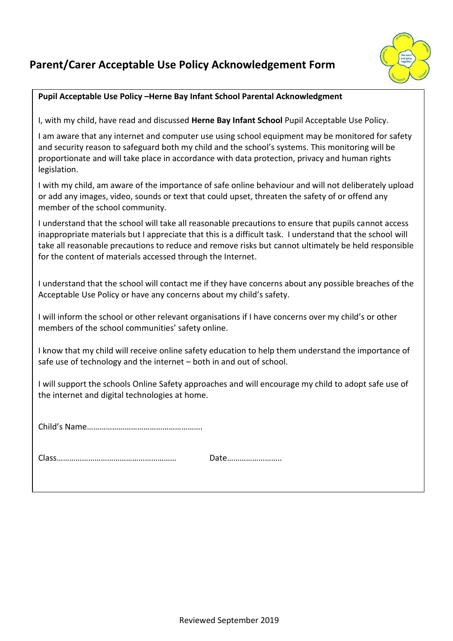## **Parent/Carer Acceptable Use Policy Acknowledgement Form**



#### **Pupil Acceptable Use Policy –Herne Bay Infant School Parental Acknowledgment**

I, with my child, have read and discussed **Herne Bay Infant School** Pupil Acceptable Use Policy.

I am aware that any internet and computer use using school equipment may be monitored for safety and security reason to safeguard both my child and the school's systems. This monitoring will be proportionate and will take place in accordance with data protection, privacy and human rights legislation.

I with my child, am aware of the importance of safe online behaviour and will not deliberately upload or add any images, video, sounds or text that could upset, threaten the safety of or offend any member of the school community.

I understand that the school will take all reasonable precautions to ensure that pupils cannot access inappropriate materials but I appreciate that this is a difficult task. I understand that the school will take all reasonable precautions to reduce and remove risks but cannot ultimately be held responsible for the content of materials accessed through the Internet.

I understand that the school will contact me if they have concerns about any possible breaches of the Acceptable Use Policy or have any concerns about my child's safety.

I will inform the school or other relevant organisations if I have concerns over my child's or other members of the school communities' safety online.

I know that my child will receive online safety education to help them understand the importance of safe use of technology and the internet – both in and out of school.

I will support the schools Online Safety approaches and will encourage my child to adopt safe use of the internet and digital technologies at home.

Child's Name……………………………………………….

Class………………………………………………… Date……………………..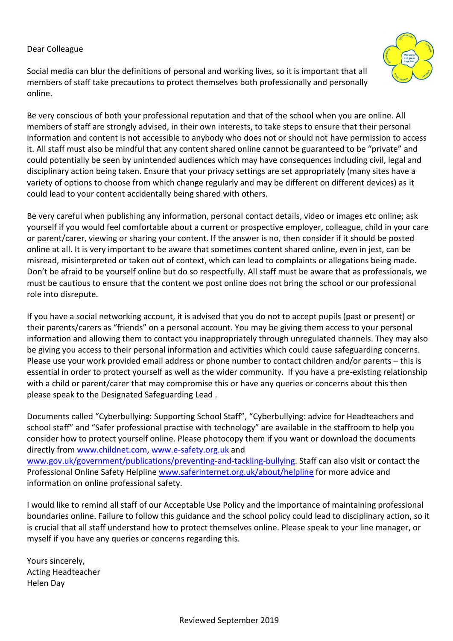#### Dear Colleague

Social media can blur the definitions of personal and working lives, so it is important that all members of staff take precautions to protect themselves both professionally and personally online.

Be very conscious of both your professional reputation and that of the school when you are online. All members of staff are strongly advised, in their own interests, to take steps to ensure that their personal information and content is not accessible to anybody who does not or should not have permission to access it. All staff must also be mindful that any content shared online cannot be guaranteed to be "private" and could potentially be seen by unintended audiences which may have consequences including civil, legal and disciplinary action being taken. Ensure that your privacy settings are set appropriately (many sites have a variety of options to choose from which change regularly and may be different on different devices) as it could lead to your content accidentally being shared with others.

Be very careful when publishing any information, personal contact details, video or images etc online; ask yourself if you would feel comfortable about a current or prospective employer, colleague, child in your care or parent/carer, viewing or sharing your content. If the answer is no, then consider if it should be posted online at all. It is very important to be aware that sometimes content shared online, even in jest, can be misread, misinterpreted or taken out of context, which can lead to complaints or allegations being made. Don't be afraid to be yourself online but do so respectfully. All staff must be aware that as professionals, we must be cautious to ensure that the content we post online does not bring the school or our professional role into disrepute.

If you have a social networking account, it is advised that you do not to accept pupils (past or present) or their parents/carers as "friends" on a personal account. You may be giving them access to your personal information and allowing them to contact you inappropriately through unregulated channels. They may also be giving you access to their personal information and activities which could cause safeguarding concerns. Please use your work provided email address or phone number to contact children and/or parents – this is essential in order to protect yourself as well as the wider community. If you have a pre-existing relationship with a child or parent/carer that may compromise this or have any queries or concerns about this then please speak to the Designated Safeguarding Lead .

Documents called "Cyberbullying: Supporting School Staff", "[Cyberbullying: advice for Headteachers and](https://www.gov.uk/government/uploads/system/uploads/attachment_data/file/374850/Cyberbullying_Advice_for_Headteachers_and_School_Staff_121114.pdf)  [school staff](https://www.gov.uk/government/uploads/system/uploads/attachment_data/file/374850/Cyberbullying_Advice_for_Headteachers_and_School_Staff_121114.pdf)" and "Safer professional practise with technology" are available in the staffroom to help you consider how to protect yourself online. Please photocopy them if you want or download the documents directly from [www.childnet.com,](http://www.childnet.com/) [www.e-safety.org.uk](http://www.e-safety.org.uk/) and [www.gov.uk/government/publications/preventing-and-tackling-bullying.](https://www.gov.uk/government/publications/preventing-and-tackling-bullying) Staff can also visit or contact the Professional Online Safety Helplin[e www.saferinternet.org.uk/about/helpline](http://www.saferinternet.org.uk/about/helpline) for more advice and information on online professional safety.

I would like to remind all staff of our Acceptable Use Policy and the importance of maintaining professional boundaries online. Failure to follow this guidance and the school policy could lead to disciplinary action, so it is crucial that all staff understand how to protect themselves online. Please speak to your line manager, or myself if you have any queries or concerns regarding this.

Yours sincerely, Acting Headteacher Helen Day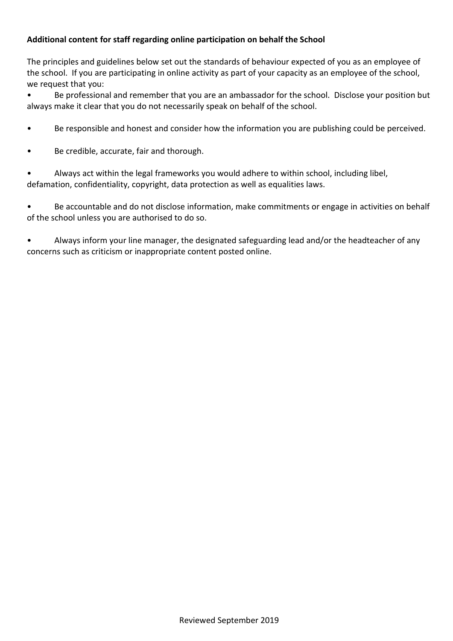#### **Additional content for staff regarding online participation on behalf the School**

The principles and guidelines below set out the standards of behaviour expected of you as an employee of the school. If you are participating in online activity as part of your capacity as an employee of the school, we request that you:

• Be professional and remember that you are an ambassador for the school. Disclose your position but always make it clear that you do not necessarily speak on behalf of the school.

- Be responsible and honest and consider how the information you are publishing could be perceived.
- Be credible, accurate, fair and thorough.

• Always act within the legal frameworks you would adhere to within school, including libel, defamation, confidentiality, copyright, data protection as well as equalities laws.

• Be accountable and do not disclose information, make commitments or engage in activities on behalf of the school unless you are authorised to do so.

• Always inform your line manager, the designated safeguarding lead and/or the headteacher of any concerns such as criticism or inappropriate content posted online.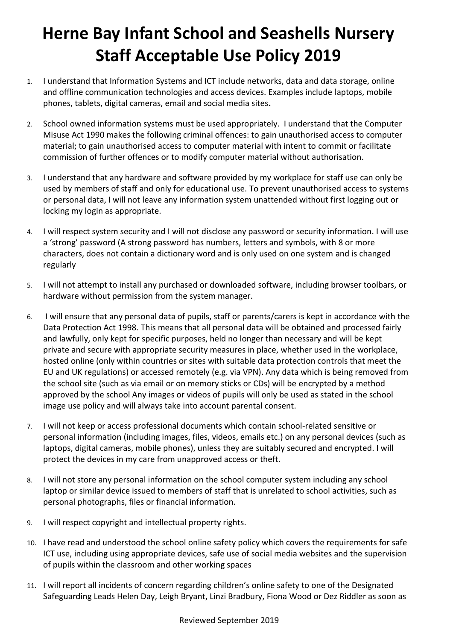# **Herne Bay Infant School and Seashells Nursery Staff Acceptable Use Policy 2019**

- 1. I understand that Information Systems and ICT include networks, data and data storage, online and offline communication technologies and access devices. Examples include laptops, mobile phones, tablets, digital cameras, email and social media sites**.**
- 2. School owned information systems must be used appropriately. I understand that the Computer Misuse Act 1990 makes the following criminal offences: to gain unauthorised access to computer material; to gain unauthorised access to computer material with intent to commit or facilitate commission of further offences or to modify computer material without authorisation.
- 3. I understand that any hardware and software provided by my workplace for staff use can only be used by members of staff and only for educational use. To prevent unauthorised access to systems or personal data, I will not leave any information system unattended without first logging out or locking my login as appropriate.
- 4. I will respect system security and I will not disclose any password or security information. I will use a 'strong' password (A strong password has numbers, letters and symbols, with 8 or more characters, does not contain a dictionary word and is only used on one system and is changed regularly
- 5. I will not attempt to install any purchased or downloaded software, including browser toolbars, or hardware without permission from the system manager.
- 6. I will ensure that any personal data of pupils, staff or parents/carers is kept in accordance with the Data Protection Act 1998. This means that all personal data will be obtained and processed fairly and lawfully, only kept for specific purposes, held no longer than necessary and will be kept private and secure with appropriate security measures in place, whether used in the workplace, hosted online (only within countries or sites with suitable data protection controls that meet the EU and UK regulations) or accessed remotely (e.g. via VPN). Any data which is being removed from the school site (such as via email or on memory sticks or CDs) will be encrypted by a method approved by the school Any images or videos of pupils will only be used as stated in the school image use policy and will always take into account parental consent.
- 7. I will not keep or access professional documents which contain school-related sensitive or personal information (including images, files, videos, emails etc.) on any personal devices (such as laptops, digital cameras, mobile phones), unless they are suitably secured and encrypted. I will protect the devices in my care from unapproved access or theft.
- 8. I will not store any personal information on the school computer system including any school laptop or similar device issued to members of staff that is unrelated to school activities, such as personal photographs, files or financial information.
- 9. I will respect copyright and intellectual property rights.
- 10. I have read and understood the school online safety policy which covers the requirements for safe ICT use, including using appropriate devices, safe use of social media websites and the supervision of pupils within the classroom and other working spaces
- 11. I will report all incidents of concern regarding children's online safety to one of the Designated Safeguarding Leads Helen Day, Leigh Bryant, Linzi Bradbury, Fiona Wood or Dez Riddler as soon as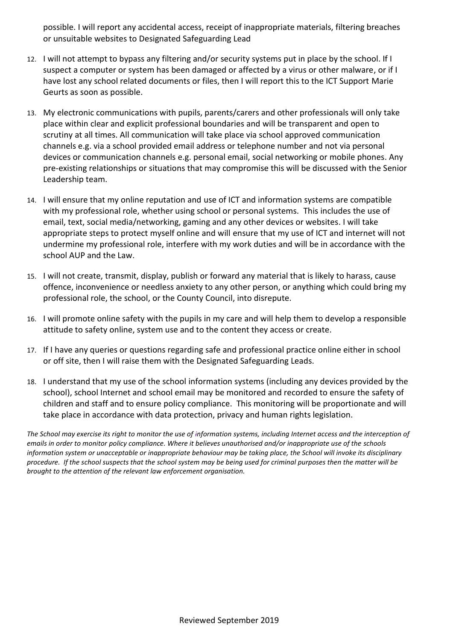possible. I will report any accidental access, receipt of inappropriate materials, filtering breaches or unsuitable websites to Designated Safeguarding Lead

- 12. I will not attempt to bypass any filtering and/or security systems put in place by the school. If I suspect a computer or system has been damaged or affected by a virus or other malware, or if I have lost any school related documents or files, then I will report this to the ICT Support Marie Geurts as soon as possible.
- 13. My electronic communications with pupils, parents/carers and other professionals will only take place within clear and explicit professional boundaries and will be transparent and open to scrutiny at all times. All communication will take place via school approved communication channels e.g. via a school provided email address or telephone number and not via personal devices or communication channels e.g. personal email, social networking or mobile phones. Any pre-existing relationships or situations that may compromise this will be discussed with the Senior Leadership team.
- 14. I will ensure that my online reputation and use of ICT and information systems are compatible with my professional role, whether using school or personal systems. This includes the use of email, text, social media/networking, gaming and any other devices or websites. I will take appropriate steps to protect myself online and will ensure that my use of ICT and internet will not undermine my professional role, interfere with my work duties and will be in accordance with the school AUP and the Law.
- 15. I will not create, transmit, display, publish or forward any material that is likely to harass, cause offence, inconvenience or needless anxiety to any other person, or anything which could bring my professional role, the school, or the County Council, into disrepute.
- 16. I will promote online safety with the pupils in my care and will help them to develop a responsible attitude to safety online, system use and to the content they access or create.
- 17. If I have any queries or questions regarding safe and professional practice online either in school or off site, then I will raise them with the Designated Safeguarding Leads.
- 18. I understand that my use of the school information systems (including any devices provided by the school), school Internet and school email may be monitored and recorded to ensure the safety of children and staff and to ensure policy compliance. This monitoring will be proportionate and will take place in accordance with data protection, privacy and human rights legislation.

*The School may exercise its right to monitor the use of information systems, including Internet access and the interception of emails in order to monitor policy compliance. Where it believes unauthorised and/or inappropriate use of the schools information system or unacceptable or inappropriate behaviour may be taking place, the School will invoke its disciplinary procedure. If the school suspects that the school system may be being used for criminal purposes then the matter will be brought to the attention of the relevant law enforcement organisation.*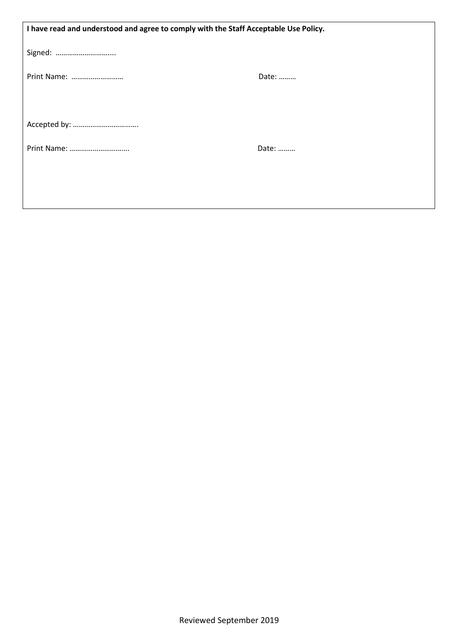| I have read and understood and agree to comply with the Staff Acceptable Use Policy. |       |  |
|--------------------------------------------------------------------------------------|-------|--|
| Signed:                                                                              |       |  |
| Print Name:                                                                          | Date: |  |
|                                                                                      |       |  |
|                                                                                      | Date: |  |
|                                                                                      |       |  |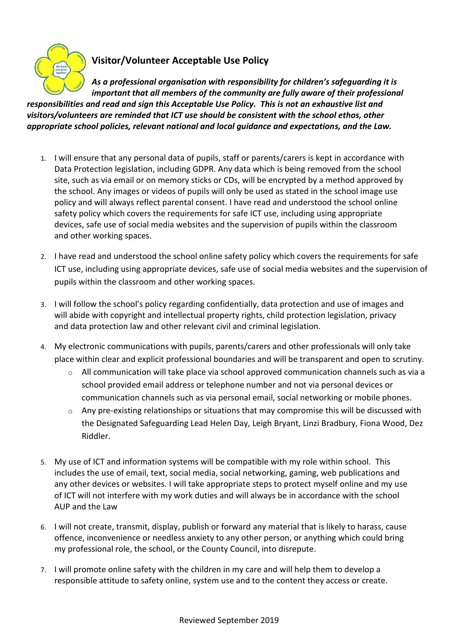

### **Visitor/Volunteer Acceptable Use Policy**

*As a professional organisation with responsibility for children's safeguarding it is important that all members of the community are fully aware of their professional responsibilities and read and sign this Acceptable Use Policy. This is not an exhaustive list and visitors/volunteers are reminded that ICT use should be consistent with the school ethos, other appropriate school policies, relevant national and local guidance and expectations, and the Law.*

- 1. I will ensure that any personal data of pupils, staff or parents/carers is kept in accordance with Data Protection legislation, including GDPR. Any data which is being removed from the school site, such as via email or on memory sticks or CDs, will be encrypted by a method approved by the school. Any images or videos of pupils will only be used as stated in the school image use policy and will always reflect parental consent. I have read and understood the school online safety policy which covers the requirements for safe ICT use, including using appropriate devices, safe use of social media websites and the supervision of pupils within the classroom and other working spaces.
- 2. I have read and understood the school online safety policy which covers the requirements for safe ICT use, including using appropriate devices, safe use of social media websites and the supervision of pupils within the classroom and other working spaces.
- 3. I will follow the school's policy regarding confidentially, data protection and use of images and will abide with copyright and intellectual property rights, child protection legislation, privacy and data protection law and other relevant civil and criminal legislation.
- 4. My electronic communications with pupils, parents/carers and other professionals will only take place within clear and explicit professional boundaries and will be transparent and open to scrutiny.
	- $\circ$  All communication will take place via school approved communication channels such as via a school provided email address or telephone number and not via personal devices or communication channels such as via personal email, social networking or mobile phones.
	- $\circ$  Any pre-existing relationships or situations that may compromise this will be discussed with the Designated Safeguarding Lead Helen Day, Leigh Bryant, Linzi Bradbury, Fiona Wood, Dez Riddler.
- 5. My use of ICT and information systems will be compatible with my role within school. This includes the use of email, text, social media, social networking, gaming, web publications and any other devices or websites. I will take appropriate steps to protect myself online and my use of ICT will not interfere with my work duties and will always be in accordance with the school AUP and the Law
- 6. I will not create, transmit, display, publish or forward any material that is likely to harass, cause offence, inconvenience or needless anxiety to any other person, or anything which could bring my professional role, the school, or the County Council, into disrepute.
- 7. I will promote online safety with the children in my care and will help them to develop a responsible attitude to safety online, system use and to the content they access or create.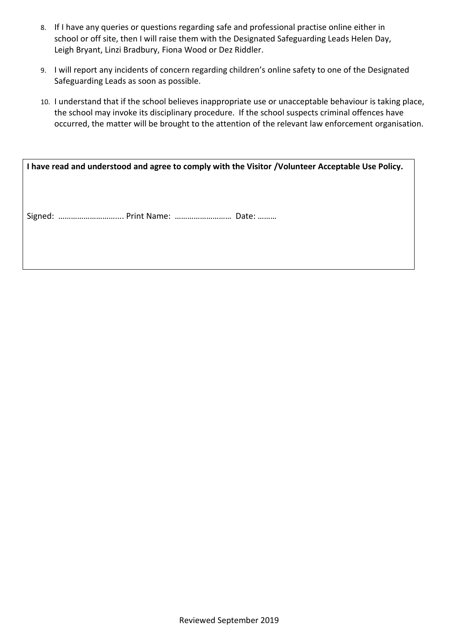- 8. If I have any queries or questions regarding safe and professional practise online either in school or off site, then I will raise them with the Designated Safeguarding Leads Helen Day, Leigh Bryant, Linzi Bradbury, Fiona Wood or Dez Riddler.
- 9. I will report any incidents of concern regarding children's online safety to one of the Designated Safeguarding Leads as soon as possible.
- 10. I understand that if the school believes inappropriate use or unacceptable behaviour is taking place, the school may invoke its disciplinary procedure. If the school suspects criminal offences have occurred, the matter will be brought to the attention of the relevant law enforcement organisation.

| I have read and understood and agree to comply with the Visitor /Volunteer Acceptable Use Policy. |
|---------------------------------------------------------------------------------------------------|
|                                                                                                   |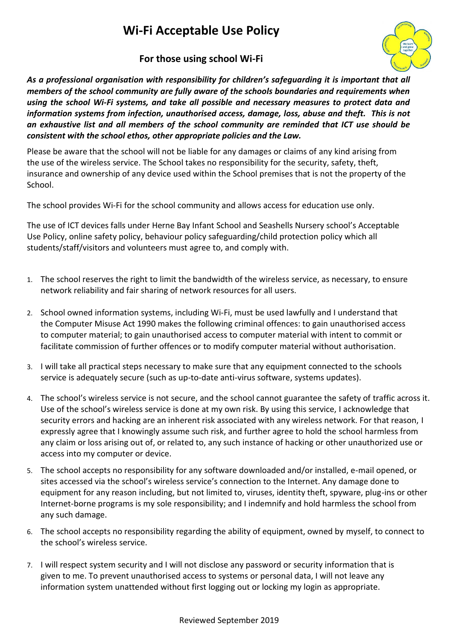## **Wi-Fi Acceptable Use Policy**

### **For those using school Wi-Fi**



*As a professional organisation with responsibility for children's safeguarding it is important that all members of the school community are fully aware of the schools boundaries and requirements when using the school Wi-Fi systems, and take all possible and necessary measures to protect data and information systems from infection, unauthorised access, damage, loss, abuse and theft. This is not an exhaustive list and all members of the school community are reminded that ICT use should be consistent with the school ethos, other appropriate policies and the Law.*

Please be aware that the school will not be liable for any damages or claims of any kind arising from the use of the wireless service. The School takes no responsibility for the security, safety, theft, insurance and ownership of any device used within the School premises that is not the property of the School.

The school provides Wi-Fi for the school community and allows access for education use only.

The use of ICT devices falls under Herne Bay Infant School and Seashells Nursery school's Acceptable Use Policy, online safety policy, behaviour policy safeguarding/child protection policy which all students/staff/visitors and volunteers must agree to, and comply with.

- 1. The school reserves the right to limit the bandwidth of the wireless service, as necessary, to ensure network reliability and fair sharing of network resources for all users.
- 2. School owned information systems, including Wi-Fi, must be used lawfully and I understand that the Computer Misuse Act 1990 makes the following criminal offences: to gain unauthorised access to computer material; to gain unauthorised access to computer material with intent to commit or facilitate commission of further offences or to modify computer material without authorisation.
- 3. I will take all practical steps necessary to make sure that any equipment connected to the schools service is adequately secure (such as up-to-date anti-virus software, systems updates).
- 4. The school's wireless service is not secure, and the school cannot guarantee the safety of traffic across it. Use of the school's wireless service is done at my own risk. By using this service, I acknowledge that security errors and hacking are an inherent risk associated with any wireless network. For that reason, I expressly agree that I knowingly assume such risk, and further agree to hold the school harmless from any claim or loss arising out of, or related to, any such instance of hacking or other unauthorized use or access into my computer or device.
- 5. The school accepts no responsibility for any software downloaded and/or installed, e-mail opened, or sites accessed via the school's wireless service's connection to the Internet. Any damage done to equipment for any reason including, but not limited to, viruses, identity theft, spyware, plug-ins or other Internet-borne programs is my sole responsibility; and I indemnify and hold harmless the school from any such damage.
- 6. The school accepts no responsibility regarding the ability of equipment, owned by myself, to connect to the school's wireless service.
- 7. I will respect system security and I will not disclose any password or security information that is given to me. To prevent unauthorised access to systems or personal data, I will not leave any information system unattended without first logging out or locking my login as appropriate.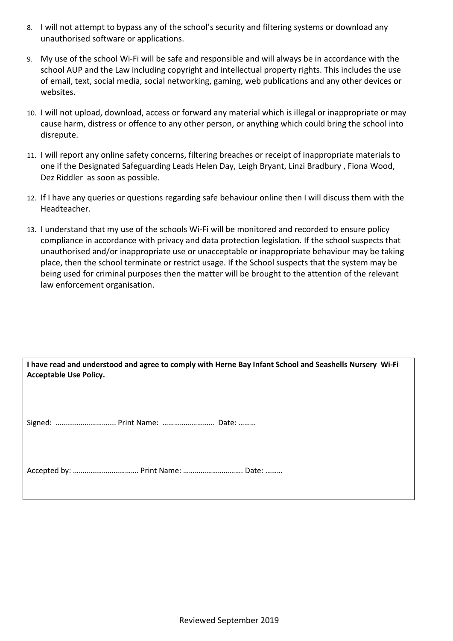- 8. I will not attempt to bypass any of the school's security and filtering systems or download any unauthorised software or applications.
- 9. My use of the school Wi-Fi will be safe and responsible and will always be in accordance with the school AUP and the Law including copyright and intellectual property rights. This includes the use of email, text, social media, social networking, gaming, web publications and any other devices or websites.
- 10. I will not upload, download, access or forward any material which is illegal or inappropriate or may cause harm, distress or offence to any other person, or anything which could bring the school into disrepute.
- 11. I will report any online safety concerns, filtering breaches or receipt of inappropriate materials to one if the Designated Safeguarding Leads Helen Day, Leigh Bryant, Linzi Bradbury , Fiona Wood, Dez Riddler as soon as possible.
- 12. If I have any queries or questions regarding safe behaviour online then I will discuss them with the Headteacher.
- 13. I understand that my use of the schools Wi-Fi will be monitored and recorded to ensure policy compliance in accordance with privacy and data protection legislation*.* If the school suspects that unauthorised and/or inappropriate use or unacceptable or inappropriate behaviour may be taking place, then the school terminate or restrict usage. If the School suspects that the system may be being used for criminal purposes then the matter will be brought to the attention of the relevant law enforcement organisation.

| I have read and understood and agree to comply with Herne Bay Infant School and Seashells Nursery Wi-Fi<br><b>Acceptable Use Policy.</b> |  |  |
|------------------------------------------------------------------------------------------------------------------------------------------|--|--|
| Signed:  Print Name:  Date:                                                                                                              |  |  |
|                                                                                                                                          |  |  |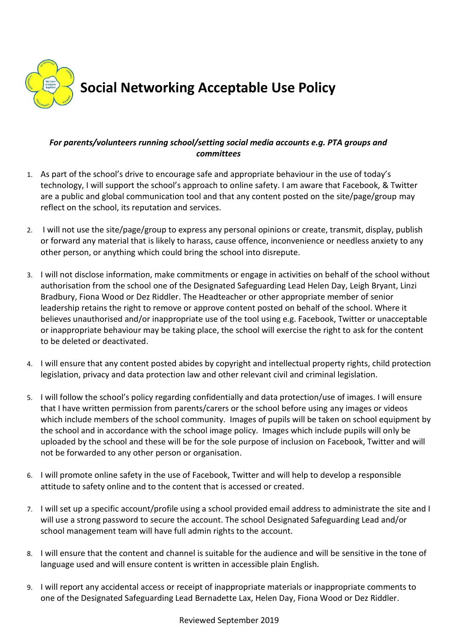

#### *For parents/volunteers running school/setting social media accounts e.g. PTA groups and committees*

- 1. As part of the school's drive to encourage safe and appropriate behaviour in the use of today's technology, I will support the school's approach to online safety. I am aware that Facebook, & Twitter are a public and global communication tool and that any content posted on the site/page/group may reflect on the school, its reputation and services.
- 2. I will not use the site/page/group to express any personal opinions or create, transmit, display, publish or forward any material that is likely to harass, cause offence, inconvenience or needless anxiety to any other person, or anything which could bring the school into disrepute.
- 3. I will not disclose information, make commitments or engage in activities on behalf of the school without authorisation from the school one of the Designated Safeguarding Lead Helen Day, Leigh Bryant, Linzi Bradbury, Fiona Wood or Dez Riddler. The Headteacher or other appropriate member of senior leadership retains the right to remove or approve content posted on behalf of the school. Where it believes unauthorised and/or inappropriate use of the tool using e.g. Facebook, Twitter or unacceptable or inappropriate behaviour may be taking place, the school will exercise the right to ask for the content to be deleted or deactivated.
- 4. I will ensure that any content posted abides by copyright and intellectual property rights, child protection legislation, privacy and data protection law and other relevant civil and criminal legislation.
- 5. I will follow the school's policy regarding confidentially and data protection/use of images. I will ensure that I have written permission from parents/carers or the school before using any images or videos which include members of the school community. Images of pupils will be taken on school equipment by the school and in accordance with the school image policy. Images which include pupils will only be uploaded by the school and these will be for the sole purpose of inclusion on Facebook, Twitter and will not be forwarded to any other person or organisation.
- 6. I will promote online safety in the use of Facebook, Twitter and will help to develop a responsible attitude to safety online and to the content that is accessed or created.
- 7. I will set up a specific account/profile using a school provided email address to administrate the site and I will use a strong password to secure the account. The school Designated Safeguarding Lead and/or school management team will have full admin rights to the account.
- 8. I will ensure that the content and channel is suitable for the audience and will be sensitive in the tone of language used and will ensure content is written in accessible plain English.
- 9. I will report any accidental access or receipt of inappropriate materials or inappropriate comments to one of the Designated Safeguarding Lead Bernadette Lax, Helen Day, Fiona Wood or Dez Riddler.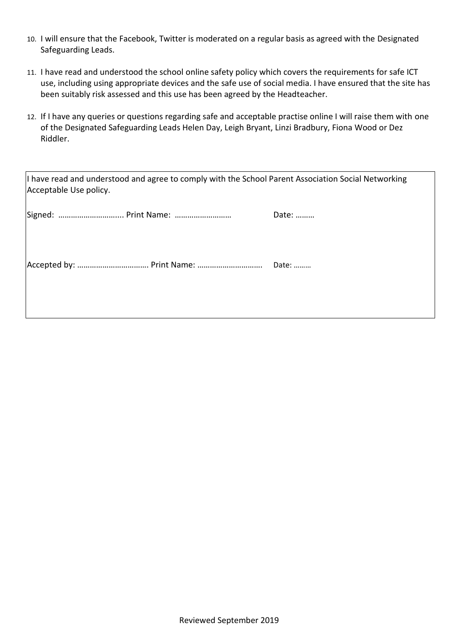- 10. I will ensure that the Facebook, Twitter is moderated on a regular basis as agreed with the Designated Safeguarding Leads.
- 11. I have read and understood the school online safety policy which covers the requirements for safe ICT use, including using appropriate devices and the safe use of social media. I have ensured that the site has been suitably risk assessed and this use has been agreed by the Headteacher.
- 12. If I have any queries or questions regarding safe and acceptable practise online I will raise them with one of the Designated Safeguarding Leads Helen Day, Leigh Bryant, Linzi Bradbury, Fiona Wood or Dez Riddler.

| I have read and understood and agree to comply with the School Parent Association Social Networking<br>Acceptable Use policy. |  |  |
|-------------------------------------------------------------------------------------------------------------------------------|--|--|
| Date:                                                                                                                         |  |  |
|                                                                                                                               |  |  |
|                                                                                                                               |  |  |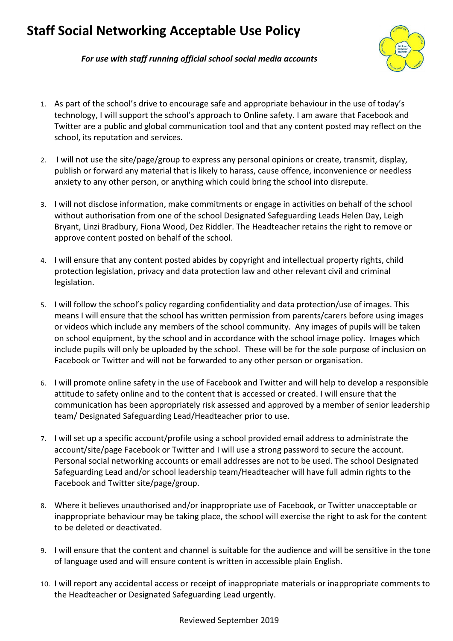## **Staff Social Networking Acceptable Use Policy**



*For use with staff running official school social media accounts*

- 1. As part of the school's drive to encourage safe and appropriate behaviour in the use of today's technology, I will support the school's approach to Online safety. I am aware that Facebook and Twitter are a public and global communication tool and that any content posted may reflect on the school, its reputation and services.
- 2. I will not use the site/page/group to express any personal opinions or create, transmit, display, publish or forward any material that is likely to harass, cause offence, inconvenience or needless anxiety to any other person, or anything which could bring the school into disrepute.
- 3. I will not disclose information, make commitments or engage in activities on behalf of the school without authorisation from one of the school Designated Safeguarding Leads Helen Day, Leigh Bryant, Linzi Bradbury, Fiona Wood, Dez Riddler. The Headteacher retains the right to remove or approve content posted on behalf of the school.
- 4. I will ensure that any content posted abides by copyright and intellectual property rights, child protection legislation, privacy and data protection law and other relevant civil and criminal legislation.
- 5. I will follow the school's policy regarding confidentiality and data protection/use of images. This means I will ensure that the school has written permission from parents/carers before using images or videos which include any members of the school community. Any images of pupils will be taken on school equipment, by the school and in accordance with the school image policy. Images which include pupils will only be uploaded by the school. These will be for the sole purpose of inclusion on Facebook or Twitter and will not be forwarded to any other person or organisation.
- 6. I will promote online safety in the use of Facebook and Twitter and will help to develop a responsible attitude to safety online and to the content that is accessed or created. I will ensure that the communication has been appropriately risk assessed and approved by a member of senior leadership team/ Designated Safeguarding Lead/Headteacher prior to use.
- 7. I will set up a specific account/profile using a school provided email address to administrate the account/site/page Facebook or Twitter and I will use a strong password to secure the account. Personal social networking accounts or email addresses are not to be used. The school Designated Safeguarding Lead and/or school leadership team/Headteacher will have full admin rights to the Facebook and Twitter site/page/group.
- 8. Where it believes unauthorised and/or inappropriate use of Facebook, or Twitter unacceptable or inappropriate behaviour may be taking place, the school will exercise the right to ask for the content to be deleted or deactivated.
- 9. I will ensure that the content and channel is suitable for the audience and will be sensitive in the tone of language used and will ensure content is written in accessible plain English.
- 10. I will report any accidental access or receipt of inappropriate materials or inappropriate comments to the Headteacher or Designated Safeguarding Lead urgently.